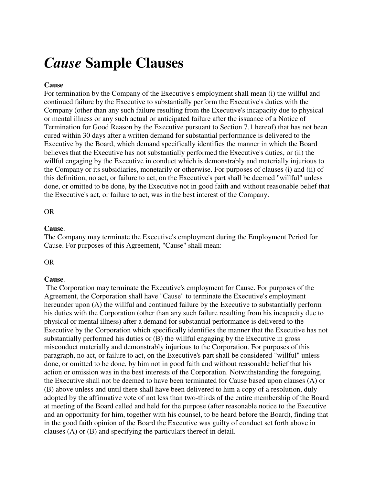# *Cause* **Sample Clauses**

# **Cause**

For termination by the Company of the Executive's employment shall mean (i) the willful and continued failure by the Executive to substantially perform the Executive's duties with the Company (other than any such failure resulting from the Executive's incapacity due to physical or mental illness or any such actual or anticipated failure after the issuance of a Notice of Termination for Good Reason by the Executive pursuant to Section 7.1 hereof) that has not been cured within 30 days after a written demand for substantial performance is delivered to the Executive by the Board, which demand specifically identifies the manner in which the Board believes that the Executive has not substantially performed the Executive's duties, or (ii) the willful engaging by the Executive in conduct which is demonstrably and materially injurious to the Company or its subsidiaries, monetarily or otherwise. For purposes of clauses (i) and (ii) of this definition, no act, or failure to act, on the Executive's part shall be deemed "willful" unless done, or omitted to be done, by the Executive not in good faith and without reasonable belief that the Executive's act, or failure to act, was in the best interest of the Company.

# OR

### **Cause**.

The Company may terminate the Executive's employment during the Employment Period for Cause. For purposes of this Agreement, "Cause" shall mean:

OR

# **Cause**.

 The Corporation may terminate the Executive's employment for Cause. For purposes of the Agreement, the Corporation shall have "Cause" to terminate the Executive's employment hereunder upon (A) the willful and continued failure by the Executive to substantially perform his duties with the Corporation (other than any such failure resulting from his incapacity due to physical or mental illness) after a demand for substantial performance is delivered to the Executive by the Corporation which specifically identifies the manner that the Executive has not substantially performed his duties or (B) the willful engaging by the Executive in gross misconduct materially and demonstrably injurious to the Corporation. For purposes of this paragraph, no act, or failure to act, on the Executive's part shall be considered "willful" unless done, or omitted to be done, by him not in good faith and without reasonable belief that his action or omission was in the best interests of the Corporation. Notwithstanding the foregoing, the Executive shall not be deemed to have been terminated for Cause based upon clauses (A) or (B) above unless and until there shall have been delivered to him a copy of a resolution, duly adopted by the affirmative vote of not less than two-thirds of the entire membership of the Board at meeting of the Board called and held for the purpose (after reasonable notice to the Executive and an opportunity for him, together with his counsel, to be heard before the Board), finding that in the good faith opinion of the Board the Executive was guilty of conduct set forth above in clauses (A) or (B) and specifying the particulars thereof in detail.